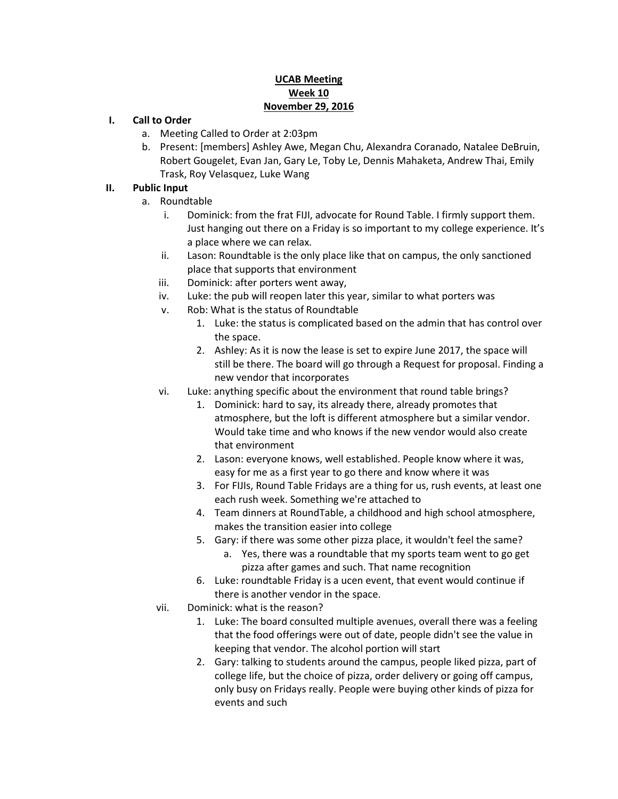#### **UCAB Meeting Week 10 November 29, 2016**

#### **I. Call to Order**

- a. Meeting Called to Order at 2:03pm
- b. Present: [members] Ashley Awe, Megan Chu, Alexandra Coranado, Natalee DeBruin, Robert Gougelet, Evan Jan, Gary Le, Toby Le, Dennis Mahaketa, Andrew Thai, Emily Trask, Roy Velasquez, Luke Wang

### **II. Public Input**

- a. Roundtable
	- i. Dominick: from the frat FIJI, advocate for Round Table. I firmly support them. Just hanging out there on a Friday is so important to my college experience. It's a place where we can relax.
	- ii. Lason: Roundtable is the only place like that on campus, the only sanctioned place that supports that environment
	- iii. Dominick: after porters went away,
	- iv. Luke: the pub will reopen later this year, similar to what porters was
	- v. Rob: What is the status of Roundtable
		- 1. Luke: the status is complicated based on the admin that has control over the space.
		- 2. Ashley: As it is now the lease is set to expire June 2017, the space will still be there. The board will go through a Request for proposal. Finding a new vendor that incorporates
	- vi. Luke: anything specific about the environment that round table brings?
		- 1. Dominick: hard to say, its already there, already promotes that atmosphere, but the loft is different atmosphere but a similar vendor. Would take time and who knows if the new vendor would also create that environment
		- 2. Lason: everyone knows, well established. People know where it was, easy for me as a first year to go there and know where it was
		- 3. For FIJIs, Round Table Fridays are a thing for us, rush events, at least one each rush week. Something we're attached to
		- 4. Team dinners at RoundTable, a childhood and high school atmosphere, makes the transition easier into college
		- 5. Gary: if there was some other pizza place, it wouldn't feel the same?
			- a. Yes, there was a roundtable that my sports team went to go get pizza after games and such. That name recognition
		- 6. Luke: roundtable Friday is a ucen event, that event would continue if there is another vendor in the space.
	- vii. Dominick: what is the reason?
		- 1. Luke: The board consulted multiple avenues, overall there was a feeling that the food offerings were out of date, people didn't see the value in keeping that vendor. The alcohol portion will start
		- 2. Gary: talking to students around the campus, people liked pizza, part of college life, but the choice of pizza, order delivery or going off campus, only busy on Fridays really. People were buying other kinds of pizza for events and such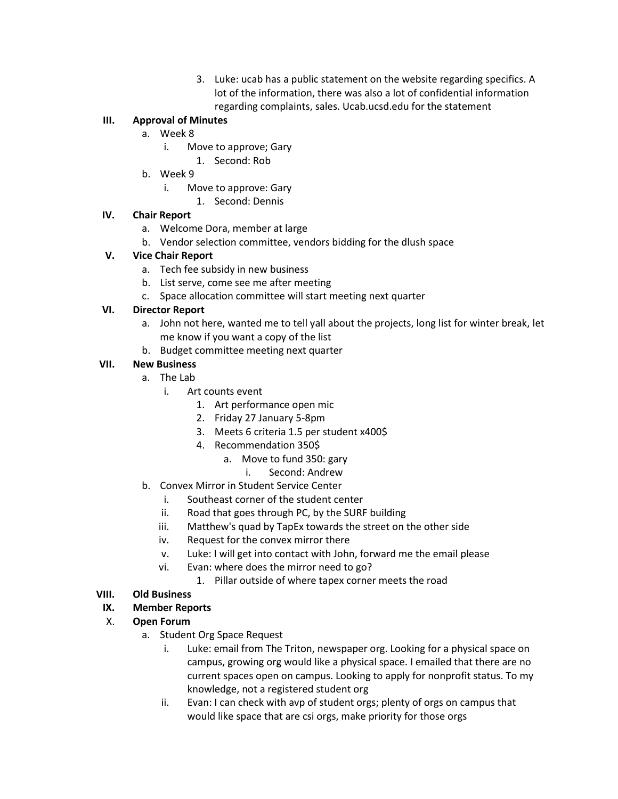3. Luke: ucab has a public statement on the website regarding specifics. A lot of the information, there was also a lot of confidential information regarding complaints, sales. Ucab.ucsd.edu for the statement

## **III. Approval of Minutes**

- a. Week 8
	- i. Move to approve; Gary
		- 1. Second: Rob
- b. Week 9
	- i. Move to approve: Gary
		- 1. Second: Dennis

### **IV. Chair Report**

- a. Welcome Dora, member at large
- b. Vendor selection committee, vendors bidding for the dlush space

## **V. Vice Chair Report**

- a. Tech fee subsidy in new business
- b. List serve, come see me after meeting
- c. Space allocation committee will start meeting next quarter

## **VI. Director Report**

- a. John not here, wanted me to tell yall about the projects, long list for winter break, let me know if you want a copy of the list
- b. Budget committee meeting next quarter

## **VII. New Business**

- a. The Lab
	- i. Art counts event
		- 1. Art performance open mic
		- 2. Friday 27 January 5-8pm
		- 3. Meets 6 criteria 1.5 per student x400\$
		- 4. Recommendation 350\$
			- a. Move to fund 350: gary
				- i. Second: Andrew
- b. Convex Mirror in Student Service Center
	- i. Southeast corner of the student center
	- ii. Road that goes through PC, by the SURF building
	- iii. Matthew's quad by TapEx towards the street on the other side
	- iv. Request for the convex mirror there
	- v. Luke: I will get into contact with John, forward me the email please
	- vi. Evan: where does the mirror need to go?
		- 1. Pillar outside of where tapex corner meets the road

### **VIII. Old Business**

# **IX. Member Reports**

- X. **Open Forum**
	- a. Student Org Space Request
		- i. Luke: email from The Triton, newspaper org. Looking for a physical space on campus, growing org would like a physical space. I emailed that there are no current spaces open on campus. Looking to apply for nonprofit status. To my knowledge, not a registered student org
		- ii. Evan: I can check with avp of student orgs; plenty of orgs on campus that would like space that are csi orgs, make priority for those orgs